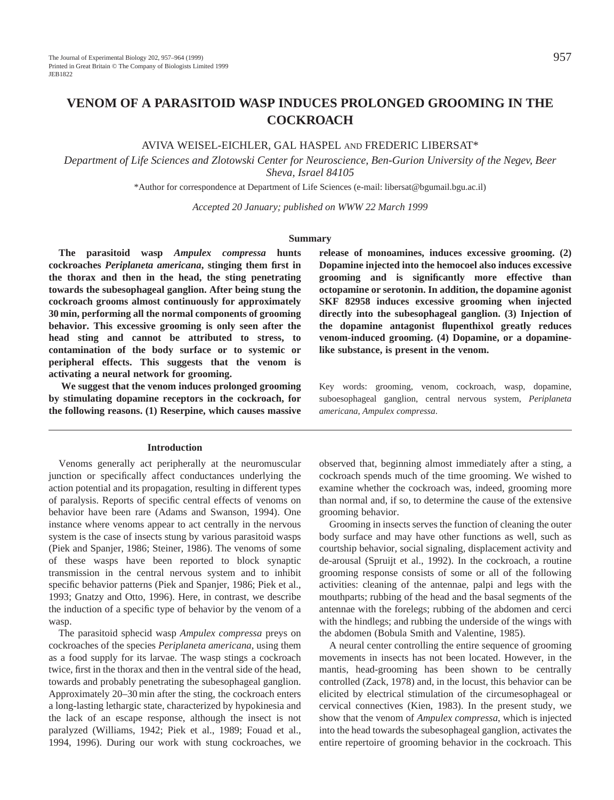# **VENOM OF A PARASITOID WASP INDUCES PROLONGED GROOMING IN THE COCKROACH**

# AVIVA WEISEL-EICHLER, GAL HASPEL AND FREDERIC LIBERSAT\*

*Department of Life Sciences and Zlotowski Center for Neuroscience, Ben-Gurion University of the Negev, Beer Sheva, Israel 84105*

\*Author for correspondence at Department of Life Sciences (e-mail: libersat@bgumail.bgu.ac.il)

*Accepted 20 January; published on WWW 22 March 1999*

#### **Summary**

**The parasitoid wasp** *Ampulex compressa* **hunts cockroaches** *Periplaneta americana***, stinging them first in the thorax and then in the head, the sting penetrating towards the subesophageal ganglion. After being stung the cockroach grooms almost continuously for approximately 30 min, performing all the normal components of grooming behavior. This excessive grooming is only seen after the head sting and cannot be attributed to stress, to contamination of the body surface or to systemic or peripheral effects. This suggests that the venom is activating a neural network for grooming.**

**We suggest that the venom induces prolonged grooming by stimulating dopamine receptors in the cockroach, for the following reasons. (1) Reserpine, which causes massive**

## **Introduction**

Venoms generally act peripherally at the neuromuscular junction or specifically affect conductances underlying the action potential and its propagation, resulting in different types of paralysis. Reports of specific central effects of venoms on behavior have been rare (Adams and Swanson, 1994). One instance where venoms appear to act centrally in the nervous system is the case of insects stung by various parasitoid wasps (Piek and Spanjer, 1986; Steiner, 1986). The venoms of some of these wasps have been reported to block synaptic transmission in the central nervous system and to inhibit specific behavior patterns (Piek and Spanjer, 1986; Piek et al., 1993; Gnatzy and Otto, 1996). Here, in contrast, we describe the induction of a specific type of behavior by the venom of a wasp.

The parasitoid sphecid wasp *Ampulex compressa* preys on cockroaches of the species *Periplaneta americana*, using them as a food supply for its larvae. The wasp stings a cockroach twice, first in the thorax and then in the ventral side of the head, towards and probably penetrating the subesophageal ganglion. Approximately 20–30 min after the sting, the cockroach enters a long-lasting lethargic state, characterized by hypokinesia and the lack of an escape response, although the insect is not paralyzed (Williams, 1942; Piek et al., 1989; Fouad et al., 1994, 1996). During our work with stung cockroaches, we

**release of monoamines, induces excessive grooming. (2) Dopamine injected into the hemocoel also induces excessive grooming and is significantly more effective than octopamine or serotonin. In addition, the dopamine agonist SKF 82958 induces excessive grooming when injected directly into the subesophageal ganglion. (3) Injection of the dopamine antagonist flupenthixol greatly reduces venom-induced grooming. (4) Dopamine, or a dopaminelike substance, is present in the venom.**

Key words: grooming, venom, cockroach, wasp, dopamine, suboesophageal ganglion, central nervous system, *Periplaneta americana*, *Ampulex compressa*.

observed that, beginning almost immediately after a sting, a cockroach spends much of the time grooming. We wished to examine whether the cockroach was, indeed, grooming more than normal and, if so, to determine the cause of the extensive grooming behavior.

Grooming in insects serves the function of cleaning the outer body surface and may have other functions as well, such as courtship behavior, social signaling, displacement activity and de-arousal (Spruijt et al., 1992). In the cockroach, a routine grooming response consists of some or all of the following activities: cleaning of the antennae, palpi and legs with the mouthparts; rubbing of the head and the basal segments of the antennae with the forelegs; rubbing of the abdomen and cerci with the hindlegs; and rubbing the underside of the wings with the abdomen (Bobula Smith and Valentine, 1985).

A neural center controlling the entire sequence of grooming movements in insects has not been located. However, in the mantis, head-grooming has been shown to be centrally controlled (Zack, 1978) and, in the locust, this behavior can be elicited by electrical stimulation of the circumesophageal or cervical connectives (Kien, 1983). In the present study, we show that the venom of *Ampulex compressa*, which is injected into the head towards the subesophageal ganglion, activates the entire repertoire of grooming behavior in the cockroach. This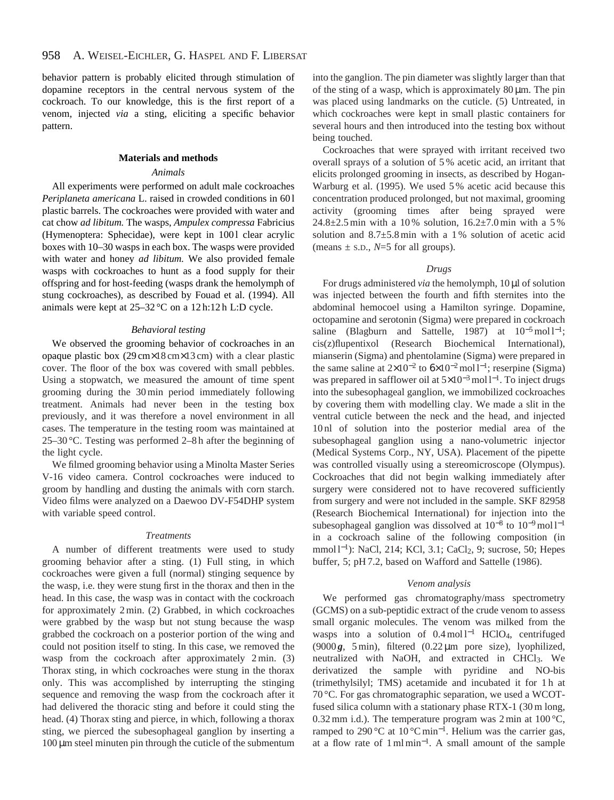behavior pattern is probably elicited through stimulation of dopamine receptors in the central nervous system of the cockroach. To our knowledge, this is the first report of a venom, injected *via* a sting, eliciting a specific behavior pattern.

## **Materials and methods**

#### *Animals*

All experiments were performed on adult male cockroaches *Periplaneta americana* L. raised in crowded conditions in 60 l plastic barrels. The cockroaches were provided with water and cat chow *ad libitum.* The wasps, *Ampulex compressa* Fabricius (Hymenoptera: Sphecidae), were kept in 1001 clear acrylic boxes with 10–30 wasps in each box. The wasps were provided with water and honey *ad libitum.* We also provided female wasps with cockroaches to hunt as a food supply for their offspring and for host-feeding (wasps drank the hemolymph of stung cockroaches), as described by Fouad et al. (1994). All animals were kept at 25–32 °C on a 12 h:12 h L:D cycle.

#### *Behavioral testing*

We observed the grooming behavior of cockroaches in an opaque plastic box (29 cm×18 cm×13 cm) with a clear plastic cover. The floor of the box was covered with small pebbles. Using a stopwatch, we measured the amount of time spent grooming during the 30 min period immediately following treatment. Animals had never been in the testing box previously, and it was therefore a novel environment in all cases. The temperature in the testing room was maintained at 25–30 °C. Testing was performed 2–8 h after the beginning of the light cycle.

We filmed grooming behavior using a Minolta Master Series V-16 video camera. Control cockroaches were induced to groom by handling and dusting the animals with corn starch. Video films were analyzed on a Daewoo DV-F54DHP system with variable speed control.

#### *Treatments*

A number of different treatments were used to study grooming behavior after a sting. (1) Full sting, in which cockroaches were given a full (normal) stinging sequence by the wasp, i.e. they were stung first in the thorax and then in the head. In this case, the wasp was in contact with the cockroach for approximately 2 min. (2) Grabbed, in which cockroaches were grabbed by the wasp but not stung because the wasp grabbed the cockroach on a posterior portion of the wing and could not position itself to sting. In this case, we removed the wasp from the cockroach after approximately 2 min. (3) Thorax sting, in which cockroaches were stung in the thorax only. This was accomplished by interrupting the stinging sequence and removing the wasp from the cockroach after it had delivered the thoracic sting and before it could sting the head. (4) Thorax sting and pierce, in which, following a thorax sting, we pierced the subesophageal ganglion by inserting a  $100 \mu m$  steel minuten pin through the cuticle of the submentum

into the ganglion. The pin diameter was slightly larger than that of the sting of a wasp, which is approximately  $80 \mu m$ . The pin was placed using landmarks on the cuticle. (5) Untreated, in which cockroaches were kept in small plastic containers for several hours and then introduced into the testing box without being touched.

Cockroaches that were sprayed with irritant received two overall sprays of a solution of 5 % acetic acid, an irritant that elicits prolonged grooming in insects, as described by Hogan-Warburg et al. (1995). We used 5 % acetic acid because this concentration produced prolonged, but not maximal, grooming activity (grooming times after being sprayed were 24.8 $\pm$ 2.5 min with a 10% solution, 16.2 $\pm$ 7.0 min with a 5% solution and  $8.7\pm5.8$  min with a 1% solution of acetic acid (means  $\pm$  s.p.,  $N=5$  for all groups).

# *Drugs*

For drugs administered *via* the hemolymph, 10 µl of solution was injected between the fourth and fifth sternites into the abdominal hemocoel using a Hamilton syringe. Dopamine, octopamine and serotonin (Sigma) were prepared in cockroach saline (Blagburn and Sattelle, 1987) at  $10^{-5}$  mol l<sup>-1</sup>; cis(z)flupentixol (Research Biochemical International), mianserin (Sigma) and phentolamine (Sigma) were prepared in the same saline at  $2\times10^{-2}$  to  $6\times10^{-2}$  mol l<sup>-1</sup>; reserpine (Sigma) was prepared in safflower oil at  $5\times10^{-3}$  mol l<sup>-1</sup>. To inject drugs into the subesophageal ganglion, we immobilized cockroaches by covering them with modelling clay. We made a slit in the ventral cuticle between the neck and the head, and injected 10 nl of solution into the posterior medial area of the subesophageal ganglion using a nano-volumetric injector (Medical Systems Corp., NY, USA). Placement of the pipette was controlled visually using a stereomicroscope (Olympus). Cockroaches that did not begin walking immediately after surgery were considered not to have recovered sufficiently from surgery and were not included in the sample. SKF 82958 (Research Biochemical International) for injection into the subesophageal ganglion was dissolved at  $10^{-8}$  to  $10^{-9}$  mol l<sup>-1</sup> in a cockroach saline of the following composition (in mmol l<sup>-1</sup>): NaCl, 214; KCl, 3.1; CaCl<sub>2</sub>, 9; sucrose, 50; Hepes buffer, 5; pH 7.2, based on Wafford and Sattelle (1986).

#### *Venom analysis*

We performed gas chromatography/mass spectrometry (GCMS) on a sub-peptidic extract of the crude venom to assess small organic molecules. The venom was milked from the wasps into a solution of 0.4 mol l<sup>−1</sup> HClO<sub>4</sub>, centrifuged (9000 $\mathbf{g}$ , 5 min), filtered (0.22  $\mu$ m pore size), lyophilized, neutralized with NaOH, and extracted in CHCl3. We derivatized the sample with pyridine and NO-bis (trimethylsilyl; TMS) acetamide and incubated it for 1 h at 70 °C. For gas chromatographic separation, we used a WCOTfused silica column with a stationary phase RTX-1 (30 m long, 0.32 mm i.d.). The temperature program was  $2 \text{ min}$  at  $100 \degree \text{C}$ , ramped to 290 °C at 10 °C min<sup>−</sup>1. Helium was the carrier gas, at a flow rate of 1 ml min<sup>−</sup>1. A small amount of the sample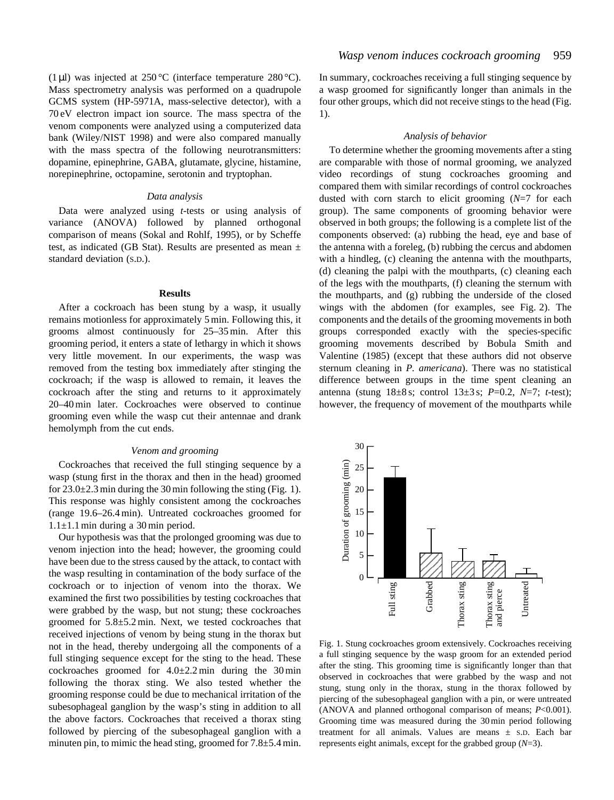(1 µl) was injected at  $250^{\circ}$ C (interface temperature  $280^{\circ}$ C). Mass spectrometry analysis was performed on a quadrupole GCMS system (HP-5971A, mass-selective detector), with a 70 eV electron impact ion source. The mass spectra of the venom components were analyzed using a computerized data bank (Wiley/NIST 1998) and were also compared manually with the mass spectra of the following neurotransmitters: dopamine, epinephrine, GABA, glutamate, glycine, histamine, norepinephrine, octopamine, serotonin and tryptophan.

## *Data analysis*

Data were analyzed using *t*-tests or using analysis of variance (ANOVA) followed by planned orthogonal comparison of means (Sokal and Rohlf, 1995), or by Scheffe test, as indicated (GB Stat). Results are presented as mean ± standard deviation (S.D.).

#### **Results**

After a cockroach has been stung by a wasp, it usually remains motionless for approximately 5 min. Following this, it grooms almost continuously for 25–35 min. After this grooming period, it enters a state of lethargy in which it shows very little movement. In our experiments, the wasp was removed from the testing box immediately after stinging the cockroach; if the wasp is allowed to remain, it leaves the cockroach after the sting and returns to it approximately 20–40 min later. Cockroaches were observed to continue grooming even while the wasp cut their antennae and drank hemolymph from the cut ends.

## *Venom and grooming*

Cockroaches that received the full stinging sequence by a wasp (stung first in the thorax and then in the head) groomed for  $23.0\pm2.3$  min during the 30 min following the sting (Fig. 1). This response was highly consistent among the cockroaches (range 19.6–26.4 min). Untreated cockroaches groomed for  $1.1 \pm 1.1$  min during a 30 min period.

Our hypothesis was that the prolonged grooming was due to venom injection into the head; however, the grooming could have been due to the stress caused by the attack, to contact with the wasp resulting in contamination of the body surface of the cockroach or to injection of venom into the thorax. We examined the first two possibilities by testing cockroaches that were grabbed by the wasp, but not stung; these cockroaches groomed for 5.8±5.2 min. Next, we tested cockroaches that received injections of venom by being stung in the thorax but not in the head, thereby undergoing all the components of a full stinging sequence except for the sting to the head. These cockroaches groomed for  $4.0\pm2.2$  min during the 30 min following the thorax sting. We also tested whether the grooming response could be due to mechanical irritation of the subesophageal ganglion by the wasp's sting in addition to all the above factors. Cockroaches that received a thorax sting followed by piercing of the subesophageal ganglion with a minuten pin, to mimic the head sting, groomed for 7.8±5.4 min.

In summary, cockroaches receiving a full stinging sequence by a wasp groomed for significantly longer than animals in the four other groups, which did not receive stings to the head (Fig. 1).

# *Analysis of behavior*

To determine whether the grooming movements after a sting are comparable with those of normal grooming, we analyzed video recordings of stung cockroaches grooming and compared them with similar recordings of control cockroaches dusted with corn starch to elicit grooming (*N*=7 for each group). The same components of grooming behavior were observed in both groups; the following is a complete list of the components observed: (a) rubbing the head, eye and base of the antenna with a foreleg, (b) rubbing the cercus and abdomen with a hindleg, (c) cleaning the antenna with the mouthparts, (d) cleaning the palpi with the mouthparts, (c) cleaning each of the legs with the mouthparts, (f) cleaning the sternum with the mouthparts, and (g) rubbing the underside of the closed wings with the abdomen (for examples, see Fig. 2). The components and the details of the grooming movements in both groups corresponded exactly with the species-specific grooming movements described by Bobula Smith and Valentine (1985) (except that these authors did not observe sternum cleaning in *P. americana*). There was no statistical difference between groups in the time spent cleaning an antenna (stung 18±8 s; control 13±3 s; *P*=0.2, *N*=7; *t*-test); however, the frequency of movement of the mouthparts while



Fig. 1. Stung cockroaches groom extensively. Cockroaches receiving a full stinging sequence by the wasp groom for an extended period after the sting. This grooming time is significantly longer than that observed in cockroaches that were grabbed by the wasp and not stung, stung only in the thorax, stung in the thorax followed by piercing of the subesophageal ganglion with a pin, or were untreated (ANOVA and planned orthogonal comparison of means; *P*<0.001). Grooming time was measured during the 30 min period following treatment for all animals. Values are means  $\pm$  s.D. Each bar represents eight animals, except for the grabbed group (*N*=3).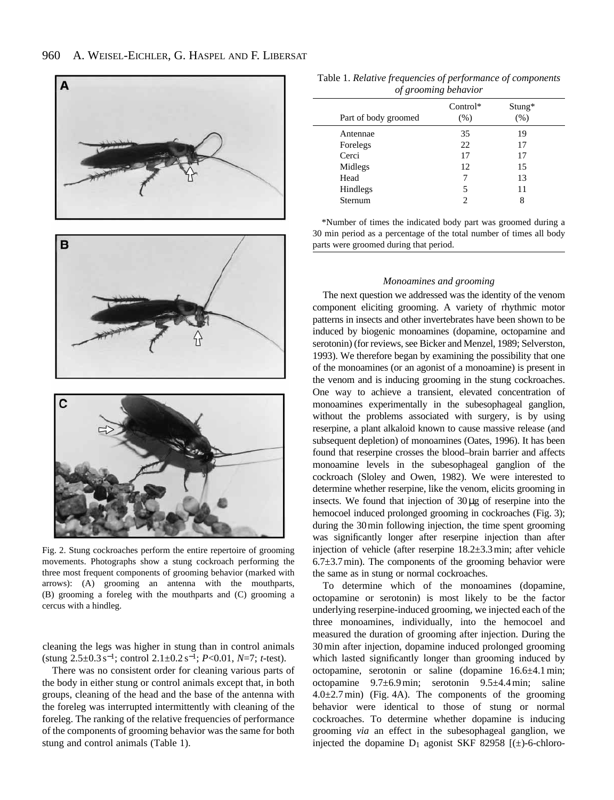

Fig. 2. Stung cockroaches perform the entire repertoire of grooming movements. Photographs show a stung cockroach performing the three most frequent components of grooming behavior (marked with arrows): (A) grooming an antenna with the mouthparts, (B) grooming a foreleg with the mouthparts and (C) grooming a cercus with a hindleg.

cleaning the legs was higher in stung than in control animals (stung 2.5±0.3 s<sup>−</sup>1; control 2.1±0.2 s−1; *P*<0.01, *N*=7; *t*-test).

There was no consistent order for cleaning various parts of the body in either stung or control animals except that, in both groups, cleaning of the head and the base of the antenna with the foreleg was interrupted intermittently with cleaning of the foreleg. The ranking of the relative frequencies of performance of the components of grooming behavior was the same for both stung and control animals (Table 1).

| Table 1. Relative frequencies of performance of components |
|------------------------------------------------------------|
| of grooming behavior                                       |

|  | Part of body groomed | $Control*$<br>(% ) | $Stung*$<br>(% ) |  |  |
|--|----------------------|--------------------|------------------|--|--|
|  | Antennae             | 35                 | 19               |  |  |
|  | Forelegs             | 22                 | 17               |  |  |
|  | Cerci                | 17                 | 17               |  |  |
|  | Midlegs              | 12                 | 15               |  |  |
|  | Head                 | 7                  | 13               |  |  |
|  | Hindlegs             | 5                  | 11               |  |  |
|  | Sternum              | ↑                  | 8                |  |  |
|  |                      |                    |                  |  |  |

\*Number of times the indicated body part was groomed during a 30 min period as a percentage of the total number of times all body parts were groomed during that period.

## *Monoamines and grooming*

The next question we addressed was the identity of the venom component eliciting grooming. A variety of rhythmic motor patterns in insects and other invertebrates have been shown to be induced by biogenic monoamines (dopamine, octopamine and serotonin) (for reviews, see Bicker and Menzel, 1989; Selverston, 1993). We therefore began by examining the possibility that one of the monoamines (or an agonist of a monoamine) is present in the venom and is inducing grooming in the stung cockroaches. One way to achieve a transient, elevated concentration of monoamines experimentally in the subesophageal ganglion, without the problems associated with surgery, is by using reserpine, a plant alkaloid known to cause massive release (and subsequent depletion) of monoamines (Oates, 1996). It has been found that reserpine crosses the blood–brain barrier and affects monoamine levels in the subesophageal ganglion of the cockroach (Sloley and Owen, 1982). We were interested to determine whether reserpine, like the venom, elicits grooming in insects. We found that injection of 30µg of reserpine into the hemocoel induced prolonged grooming in cockroaches (Fig. 3); during the 30min following injection, the time spent grooming was significantly longer after reserpine injection than after injection of vehicle (after reserpine 18.2±3.3min; after vehicle  $6.7\pm3.7$  min). The components of the grooming behavior were the same as in stung or normal cockroaches.

To determine which of the monoamines (dopamine, octopamine or serotonin) is most likely to be the factor underlying reserpine-induced grooming, we injected each of the three monoamines, individually, into the hemocoel and measured the duration of grooming after injection. During the 30 min after injection, dopamine induced prolonged grooming which lasted significantly longer than grooming induced by octopamine, serotonin or saline (dopamine 16.6±4.1 min; octopamine 9.7±6.9 min; serotonin 9.5±4.4 min; saline  $4.0\pm2.7$  min) (Fig. 4A). The components of the grooming behavior were identical to those of stung or normal cockroaches. To determine whether dopamine is inducing grooming *via* an effect in the subesophageal ganglion, we injected the dopamine  $D_1$  agonist SKF 82958 [( $\pm$ )-6-chloro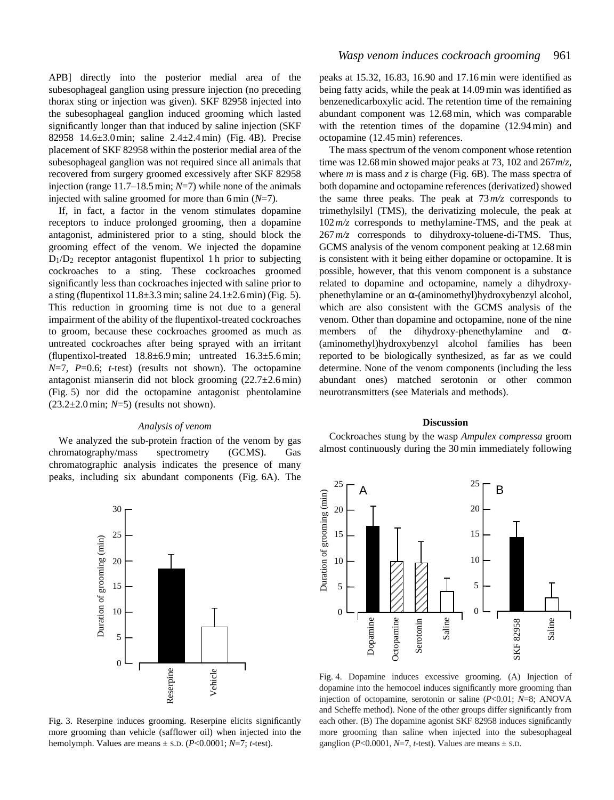APB] directly into the posterior medial area of the subesophageal ganglion using pressure injection (no preceding thorax sting or injection was given). SKF 82958 injected into the subesophageal ganglion induced grooming which lasted significantly longer than that induced by saline injection (SKF 82958 14.6 $\pm$ 3.0 min; saline 2.4 $\pm$ 2.4 min) (Fig. 4B). Precise placement of SKF 82958 within the posterior medial area of the subesophageal ganglion was not required since all animals that recovered from surgery groomed excessively after SKF 82958 injection (range 11.7–18.5 min; *N*=7) while none of the animals injected with saline groomed for more than 6 min (*N*=7).

If, in fact, a factor in the venom stimulates dopamine receptors to induce prolonged grooming, then a dopamine antagonist, administered prior to a sting, should block the grooming effect of the venom. We injected the dopamine  $D_1/D_2$  receptor antagonist flupentixol 1 h prior to subjecting cockroaches to a sting. These cockroaches groomed significantly less than cockroaches injected with saline prior to a sting (flupentixol  $11.8\pm3.3$  min; saline  $24.1\pm2.6$  min) (Fig. 5). This reduction in grooming time is not due to a general impairment of the ability of the flupentixol-treated cockroaches to groom, because these cockroaches groomed as much as untreated cockroaches after being sprayed with an irritant (flupentixol-treated  $18.8 \pm 6.9$  min; untreated  $16.3 \pm 5.6$  min; *N*=7, *P*=0.6; *t*-test) (results not shown). The octopamine antagonist mianserin did not block grooming  $(22.7 \pm 2.6 \text{ min})$ (Fig. 5) nor did the octopamine antagonist phentolamine (23.2±2.0 min; *N*=5) (results not shown).

## *Analysis of venom*

We analyzed the sub-protein fraction of the venom by gas chromatography/mass spectrometry (GCMS). Gas chromatographic analysis indicates the presence of many peaks, including six abundant components (Fig. 6A). The



octopamine (12.45 min) references.

where *m* is mass and *z* is charge (Fig. 6B). The mass spectra of both dopamine and octopamine references (derivatized) showed the same three peaks. The peak at  $73 \frac{m}{z}$  corresponds to trimethylsilyl (TMS), the derivatizing molecule, the peak at 102*m/z* corresponds to methylamine-TMS, and the peak at 267*m/z* corresponds to dihydroxy-toluene-di-TMS. Thus, GCMS analysis of the venom component peaking at 12.68 min is consistent with it being either dopamine or octopamine. It is possible, however, that this venom component is a substance related to dopamine and octopamine, namely a dihydroxyphenethylamine or an α-(aminomethyl)hydroxybenzyl alcohol, which are also consistent with the GCMS analysis of the venom. Other than dopamine and octopamine, none of the nine members of the dihydroxy-phenethylamine and  $\alpha$ -(aminomethyl)hydroxybenzyl alcohol families has been reported to be biologically synthesized, as far as we could determine. None of the venom components (including the less abundant ones) matched serotonin or other common neurotransmitters (see Materials and methods).

*Wasp venom induces cockroach grooming* 961

peaks at 15.32, 16.83, 16.90 and 17.16 min were identified as being fatty acids, while the peak at 14.09 min was identified as benzenedicarboxylic acid. The retention time of the remaining abundant component was 12.68 min, which was comparable with the retention times of the dopamine (12.94 min) and

The mass spectrum of the venom component whose retention time was 12.68 min showed major peaks at 73, 102 and 267*m*/*z*,

## **Discussion**

Cockroaches stung by the wasp *Ampulex compressa* groom almost continuously during the 30 min immediately following



Fig. 4. Dopamine induces excessive grooming. (A) Injection of dopamine into the hemocoel induces significantly more grooming than injection of octopamine, serotonin or saline (*P*<0.01; *N*=8; ANOVA and Scheffe method). None of the other groups differ significantly from each other. (B) The dopamine agonist SKF 82958 induces significantly more grooming than saline when injected into the subesophageal ganglion ( $P<0.0001$ ,  $N=7$ ,  $t$ -test). Values are means  $\pm$  s.D.

Fig. 3. Reserpine induces grooming. Reserpine elicits significantly more grooming than vehicle (safflower oil) when injected into the hemolymph. Values are means ± S.D. (*P*<0.0001; *N*=7; *t*-test).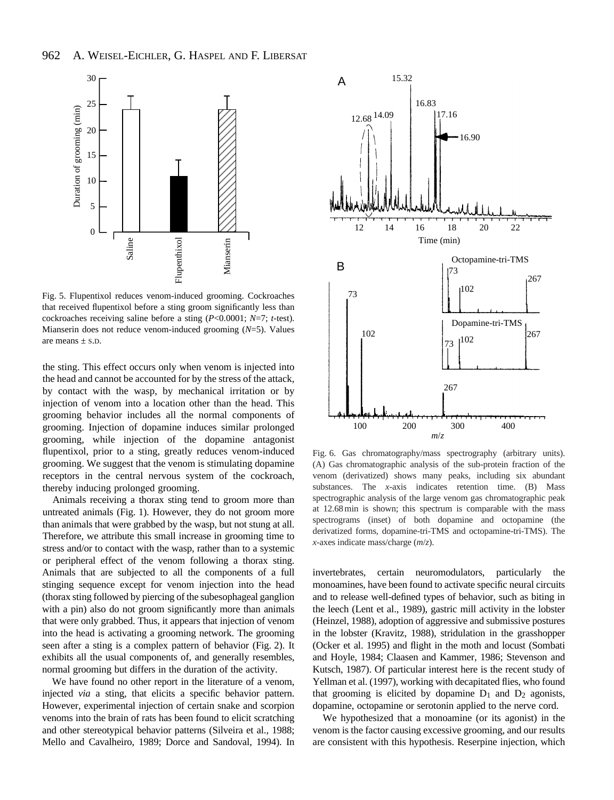

Fig. 5. Flupentixol reduces venom-induced grooming. Cockroaches that received flupentixol before a sting groom significantly less than cockroaches receiving saline before a sting (*P*<0.0001; *N*=7; *t*-test).

the sting. This effect occurs only when venom is injected into the head and cannot be accounted for by the stress of the attack, by contact with the wasp, by mechanical irritation or by injection of venom into a location other than the head. This grooming behavior includes all the normal components of grooming. Injection of dopamine induces similar prolonged grooming, while injection of the dopamine antagonist flupentixol, prior to a sting, greatly reduces venom-induced grooming. We suggest that the venom is stimulating dopamine receptors in the central nervous system of the cockroach, thereby inducing prolonged grooming.

Animals receiving a thorax sting tend to groom more than untreated animals (Fig. 1). However, they do not groom more than animals that were grabbed by the wasp, but not stung at all. Therefore, we attribute this small increase in grooming time to stress and/or to contact with the wasp, rather than to a systemic or peripheral effect of the venom following a thorax sting. Animals that are subjected to all the components of a full stinging sequence except for venom injection into the head (thorax sting followed by piercing of the subesophageal ganglion with a pin) also do not groom significantly more than animals that were only grabbed. Thus, it appears that injection of venom into the head is activating a grooming network. The grooming seen after a sting is a complex pattern of behavior (Fig. 2). It exhibits all the usual components of, and generally resembles, normal grooming but differs in the duration of the activity.

We have found no other report in the literature of a venom, injected *via* a sting, that elicits a specific behavior pattern. However, experimental injection of certain snake and scorpion venoms into the brain of rats has been found to elicit scratching and other stereotypical behavior patterns (Silveira et al., 1988; Mello and Cavalheiro, 1989; Dorce and Sandoval, 1994). In



Fig. 6. Gas chromatography/mass spectrography (arbitrary units). (A) Gas chromatographic analysis of the sub-protein fraction of the venom (derivatized) shows many peaks, including six abundant substances. The *x*-axis indicates retention time. (B) Mass spectrographic analysis of the large venom gas chromatographic peak at 12.68 min is shown; this spectrum is comparable with the mass spectrograms (inset) of both dopamine and octopamine (the derivatized forms, dopamine-tri-TMS and octopamine-tri-TMS). The *x*-axes indicate mass/charge (*m*/*z*).

invertebrates, certain neuromodulators, particularly the monoamines, have been found to activate specific neural circuits and to release well-defined types of behavior, such as biting in the leech (Lent et al., 1989), gastric mill activity in the lobster (Heinzel, 1988), adoption of aggressive and submissive postures in the lobster (Kravitz, 1988), stridulation in the grasshopper (Ocker et al. 1995) and flight in the moth and locust (Sombati and Hoyle, 1984; Claasen and Kammer, 1986; Stevenson and Kutsch, 1987). Of particular interest here is the recent study of Yellman et al. (1997), working with decapitated flies, who found that grooming is elicited by dopamine  $D_1$  and  $D_2$  agonists, dopamine, octopamine or serotonin applied to the nerve cord.

We hypothesized that a monoamine (or its agonist) in the venom is the factor causing excessive grooming, and our results are consistent with this hypothesis. Reserpine injection, which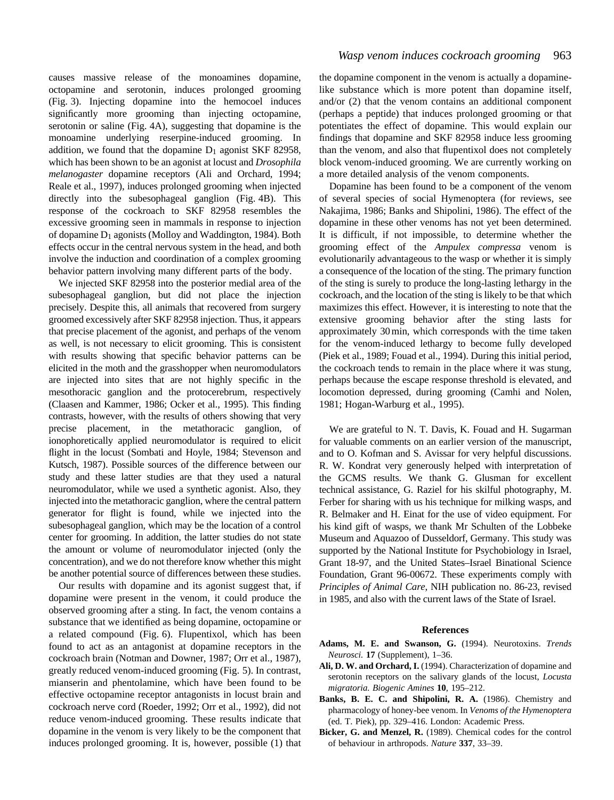causes massive release of the monoamines dopamine, octopamine and serotonin, induces prolonged grooming (Fig. 3). Injecting dopamine into the hemocoel induces significantly more grooming than injecting octopamine, serotonin or saline (Fig. 4A), suggesting that dopamine is the monoamine underlying reserpine-induced grooming. In addition, we found that the dopamine  $D_1$  agonist SKF 82958, which has been shown to be an agonist at locust and *Drosophila melanogaster* dopamine receptors (Ali and Orchard, 1994; Reale et al., 1997), induces prolonged grooming when injected directly into the subesophageal ganglion (Fig. 4B). This response of the cockroach to SKF 82958 resembles the excessive grooming seen in mammals in response to injection of dopamine D1 agonists (Molloy and Waddington, 1984). Both effects occur in the central nervous system in the head, and both involve the induction and coordination of a complex grooming behavior pattern involving many different parts of the body.

We injected SKF 82958 into the posterior medial area of the subesophageal ganglion, but did not place the injection precisely. Despite this, all animals that recovered from surgery groomed excessively after SKF 82958 injection. Thus, it appears that precise placement of the agonist, and perhaps of the venom as well, is not necessary to elicit grooming. This is consistent with results showing that specific behavior patterns can be elicited in the moth and the grasshopper when neuromodulators are injected into sites that are not highly specific in the mesothoracic ganglion and the protocerebrum, respectively (Claasen and Kammer, 1986; Ocker et al., 1995). This finding contrasts, however, with the results of others showing that very precise placement, in the metathoracic ganglion, of ionophoretically applied neuromodulator is required to elicit flight in the locust (Sombati and Hoyle, 1984; Stevenson and Kutsch, 1987). Possible sources of the difference between our study and these latter studies are that they used a natural neuromodulator, while we used a synthetic agonist. Also, they injected into the metathoracic ganglion, where the central pattern generator for flight is found, while we injected into the subesophageal ganglion, which may be the location of a control center for grooming. In addition, the latter studies do not state the amount or volume of neuromodulator injected (only the concentration), and we do not therefore know whether this might be another potential source of differences between these studies.

Our results with dopamine and its agonist suggest that, if dopamine were present in the venom, it could produce the observed grooming after a sting. In fact, the venom contains a substance that we identified as being dopamine, octopamine or a related compound (Fig. 6). Flupentixol, which has been found to act as an antagonist at dopamine receptors in the cockroach brain (Notman and Downer, 1987; Orr et al., 1987), greatly reduced venom-induced grooming (Fig. 5). In contrast, mianserin and phentolamine, which have been found to be effective octopamine receptor antagonists in locust brain and cockroach nerve cord (Roeder, 1992; Orr et al., 1992), did not reduce venom-induced grooming. These results indicate that dopamine in the venom is very likely to be the component that induces prolonged grooming. It is, however, possible (1) that the dopamine component in the venom is actually a dopaminelike substance which is more potent than dopamine itself, and/or (2) that the venom contains an additional component (perhaps a peptide) that induces prolonged grooming or that potentiates the effect of dopamine. This would explain our findings that dopamine and SKF 82958 induce less grooming than the venom, and also that flupentixol does not completely block venom-induced grooming. We are currently working on a more detailed analysis of the venom components.

Dopamine has been found to be a component of the venom of several species of social Hymenoptera (for reviews, see Nakajima, 1986; Banks and Shipolini, 1986). The effect of the dopamine in these other venoms has not yet been determined. It is difficult, if not impossible, to determine whether the grooming effect of the *Ampulex compressa* venom is evolutionarily advantageous to the wasp or whether it is simply a consequence of the location of the sting. The primary function of the sting is surely to produce the long-lasting lethargy in the cockroach, and the location of the sting is likely to be that which maximizes this effect. However, it is interesting to note that the extensive grooming behavior after the sting lasts for approximately 30 min, which corresponds with the time taken for the venom-induced lethargy to become fully developed (Piek et al., 1989; Fouad et al., 1994). During this initial period, the cockroach tends to remain in the place where it was stung, perhaps because the escape response threshold is elevated, and locomotion depressed, during grooming (Camhi and Nolen, 1981; Hogan-Warburg et al., 1995).

We are grateful to N. T. Davis, K. Fouad and H. Sugarman for valuable comments on an earlier version of the manuscript, and to O. Kofman and S. Avissar for very helpful discussions. R. W. Kondrat very generously helped with interpretation of the GCMS results. We thank G. Glusman for excellent technical assistance, G. Raziel for his skilful photography, M. Ferber for sharing with us his technique for milking wasps, and R. Belmaker and H. Einat for the use of video equipment. For his kind gift of wasps, we thank Mr Schulten of the Lobbeke Museum and Aquazoo of Dusseldorf, Germany. This study was supported by the National Institute for Psychobiology in Israel, Grant 18-97, and the United States–Israel Binational Science Foundation, Grant 96-00672. These experiments comply with *Principles of Animal Care*, NIH publication no. 86-23, revised in 1985, and also with the current laws of the State of Israel.

# **References**

- **Adams, M. E. and Swanson, G.** (1994). Neurotoxins. *Trends Neurosci.* **17** (Supplement), 1–36.
- **Ali, D. W. and Orchard, I.** (1994). Characterization of dopamine and serotonin receptors on the salivary glands of the locust, *Locusta migratoria. Biogenic Amines* **10**, 195–212.
- **Banks, B. E. C. and Shipolini, R. A.** (1986). Chemistry and pharmacology of honey-bee venom. In *Venoms of the Hymenoptera* (ed. T. Piek), pp. 329–416. London: Academic Press.
- **Bicker, G. and Menzel, R.** (1989). Chemical codes for the control of behaviour in arthropods. *Nature* **337**, 33–39.